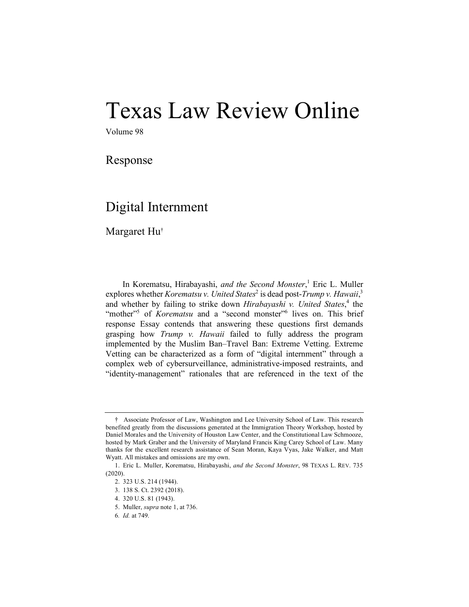## Texas Law Review Online

Volume 98

Response

## Digital Internment

Margaret Hu†

In Korematsu, Hirabayashi, *and the Second Monster*, <sup>1</sup> Eric L. Muller explores whether *Korematsu v. United States*<sup>2</sup> is dead post-*Trump v. Hawaii*,<sup>3</sup> and whether by failing to strike down *Hirabayashi v. United States*, <sup>4</sup> the "mother"<sup>5</sup> of *Korematsu* and a "second monster"<sup>6</sup> lives on. This brief response Essay contends that answering these questions first demands grasping how *Trump v. Hawaii* failed to fully address the program implemented by the Muslim Ban–Travel Ban: Extreme Vetting. Extreme Vetting can be characterized as a form of "digital internment" through a complex web of cybersurveillance, administrative-imposed restraints, and "identity-management" rationales that are referenced in the text of the

<sup>†</sup> .Associate Professor of Law, Washington and Lee University School of Law. This research benefited greatly from the discussions generated at the Immigration Theory Workshop, hosted by Daniel Morales and the University of Houston Law Center, and the Constitutional Law Schmooze, hosted by Mark Graber and the University of Maryland Francis King Carey School of Law. Many thanks for the excellent research assistance of Sean Moran, Kaya Vyas, Jake Walker, and Matt Wyatt. All mistakes and omissions are my own.

<sup>1.</sup> Eric L. Muller, Korematsu, Hirabayashi, *and the Second Monster*, 98 TEXAS L. REV. 735 (2020).

<sup>2.</sup> 323 U.S. 214 (1944).

<sup>3.</sup> 138 S. Ct. 2392 (2018).

<sup>4.</sup> 320 U.S. 81 (1943).

<sup>5.</sup> Muller, *supra* note 1, at 736.

<sup>6</sup>*. Id.* at 749.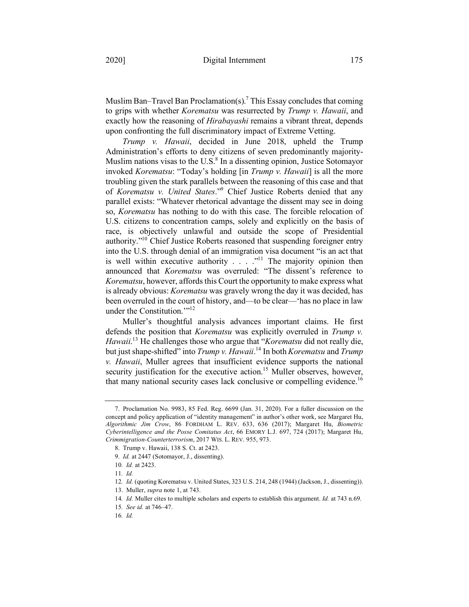Muslim Ban–Travel Ban Proclamation(s).<sup>7</sup> This Essay concludes that coming to grips with whether *Korematsu* was resurrected by *Trump v. Hawaii*, and exactly how the reasoning of *Hirabayashi* remains a vibrant threat, depends upon confronting the full discriminatory impact of Extreme Vetting.

*Trump v. Hawaii*, decided in June 2018, upheld the Trump Administration's efforts to deny citizens of seven predominantly majority-Muslim nations visas to the U.S. $<sup>8</sup>$  In a dissenting opinion, Justice Sotomayor</sup> invoked *Korematsu*: "Today's holding [in *Trump v. Hawaii*] is all the more troubling given the stark parallels between the reasoning of this case and that of *Korematsu v. United States*."9 Chief Justice Roberts denied that any parallel exists: "Whatever rhetorical advantage the dissent may see in doing so, *Korematsu* has nothing to do with this case. The forcible relocation of U.S. citizens to concentration camps, solely and explicitly on the basis of race, is objectively unlawful and outside the scope of Presidential authority."<sup>10</sup> Chief Justice Roberts reasoned that suspending foreigner entry into the U.S. through denial of an immigration visa document "is an act that is well within executive authority  $\ldots$  .  $\cdot$ <sup>11</sup> The majority opinion then announced that *Korematsu* was overruled: "The dissent's reference to *Korematsu*, however, affords this Court the opportunity to make express what is already obvious: *Korematsu* was gravely wrong the day it was decided, has been overruled in the court of history, and—to be clear—'has no place in law under the Constitution.'"12

Muller's thoughtful analysis advances important claims. He first defends the position that *Korematsu* was explicitly overruled in *Trump v. Hawaii*. <sup>13</sup> He challenges those who argue that "*Korematsu* did not really die, but just shape-shifted" into *Trump v. Hawaii*. <sup>14</sup> In both *Korematsu* and *Trump v. Hawaii*, Muller agrees that insufficient evidence supports the national security justification for the executive action.<sup>15</sup> Muller observes, however, that many national security cases lack conclusive or compelling evidence.<sup>16</sup>

16*. Id.*

<sup>7.</sup> Proclamation No. 9983, 85 Fed. Reg. 6699 (Jan. 31, 2020). For a fuller discussion on the concept and policy application of "identity management" in author's other work, see Margaret Hu, *Algorithmic Jim Crow*, 86 FORDHAM L. REV. 633, 636 (2017); Margaret Hu, *Biometric Cyberintelligence and the Posse Comitatus Act*, 66 EMORY L.J. 697, 724 (2017); Margaret Hu, *Crimmigration-Counterterrorism*, 2017 WIS. L. REV. 955, 973.

<sup>8.</sup> Trump v. Hawaii, 138 S. Ct. at 2423.

<sup>9.</sup> *Id.* at 2447 (Sotomayor, J., dissenting).

<sup>10</sup>*. Id.* at 2423.

<sup>11</sup>*. Id.*

<sup>12</sup>*. Id.* (quoting Korematsu v. United States, 323 U.S. 214, 248 (1944) (Jackson, J., dissenting)).

<sup>13.</sup> Muller, *supra* note 1, at 743.

<sup>14</sup>*. Id.* Muller cites to multiple scholars and experts to establish this argument. *Id.* at 743 n.69.

<sup>15</sup>*. See id.* at 746–47.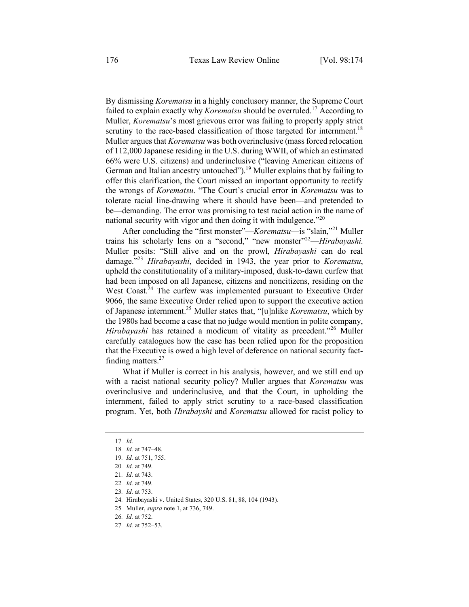By dismissing *Korematsu* in a highly conclusory manner, the Supreme Court failed to explain exactly why *Korematsu* should be overruled.<sup>17</sup> According to Muller, *Korematsu*'s most grievous error was failing to properly apply strict scrutiny to the race-based classification of those targeted for internment.<sup>18</sup> Muller argues that *Korematsu* was both overinclusive (mass forced relocation of 112,000 Japanese residing in the U.S. during WWII, of which an estimated 66% were U.S. citizens) and underinclusive ("leaving American citizens of German and Italian ancestry untouched").<sup>19</sup> Muller explains that by failing to offer this clarification, the Court missed an important opportunity to rectify the wrongs of *Korematsu*. "The Court's crucial error in *Korematsu* was to tolerate racial line-drawing where it should have been—and pretended to be—demanding. The error was promising to test racial action in the name of national security with vigor and then doing it with indulgence."20

After concluding the "first monster"—*Korematsu*—is "slain,"21 Muller trains his scholarly lens on a "second," "new monster"22—*Hirabayashi*. Muller posits: "Still alive and on the prowl, *Hirabayashi* can do real damage."23 *Hirabayashi*, decided in 1943, the year prior to *Korematsu*, upheld the constitutionality of a military-imposed, dusk-to-dawn curfew that had been imposed on all Japanese, citizens and noncitizens, residing on the West Coast.<sup>24</sup> The curfew was implemented pursuant to Executive Order 9066, the same Executive Order relied upon to support the executive action of Japanese internment. <sup>25</sup> Muller states that, "[u]nlike *Korematsu*, which by the 1980s had become a case that no judge would mention in polite company, *Hirabayashi* has retained a modicum of vitality as precedent."<sup>26</sup> Muller carefully catalogues how the case has been relied upon for the proposition that the Executive is owed a high level of deference on national security factfinding matters. $27$ 

What if Muller is correct in his analysis, however, and we still end up with a racist national security policy? Muller argues that *Korematsu* was overinclusive and underinclusive, and that the Court, in upholding the internment, failed to apply strict scrutiny to a race-based classification program. Yet, both *Hirabayshi* and *Korematsu* allowed for racist policy to

<sup>17</sup>*. Id.* 

<sup>18</sup>*. Id.* at 747–48.

<sup>19</sup>*. Id.* at 751, 755.

<sup>20</sup>*. Id.* at 749.

<sup>21</sup>*. Id.* at 743.

<sup>22</sup>*. Id.* at 749.

<sup>23</sup>*. Id.* at 753.

<sup>24</sup>*.* Hirabayashi v. United States, 320 U.S. 81, 88, 104 (1943).

<sup>25</sup>*.* Muller, *supra* note 1, at 736, 749.

<sup>26</sup>*. Id.* at 752.

<sup>27</sup>*. Id.* at 752–53.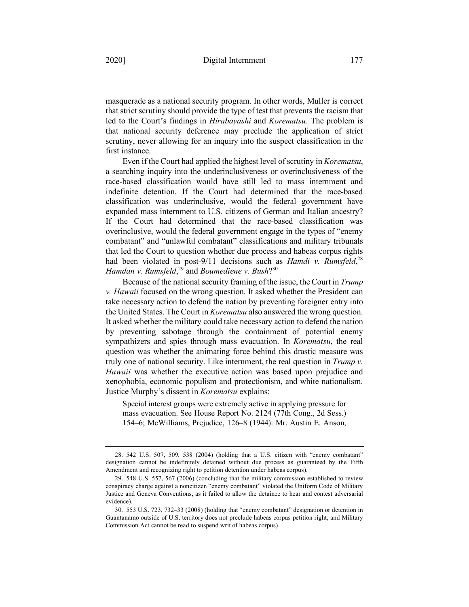masquerade as a national security program. In other words, Muller is correct that strict scrutiny should provide the type of test that prevents the racism that led to the Court's findings in *Hirabayashi* and *Korematsu*. The problem is that national security deference may preclude the application of strict scrutiny, never allowing for an inquiry into the suspect classification in the first instance.

Even if the Court had applied the highest level of scrutiny in *Korematsu*, a searching inquiry into the underinclusiveness or overinclusiveness of the race-based classification would have still led to mass internment and indefinite detention. If the Court had determined that the race-based classification was underinclusive, would the federal government have expanded mass internment to U.S. citizens of German and Italian ancestry? If the Court had determined that the race-based classification was overinclusive, would the federal government engage in the types of "enemy combatant" and "unlawful combatant" classifications and military tribunals that led the Court to question whether due process and habeas corpus rights had been violated in post-9/11 decisions such as *Hamdi v. Rumsfeld*<sup>28</sup> *Hamdan v. Rumsfeld*, <sup>29</sup> and *Boumediene v. Bush*?30

Because of the national security framing of the issue, the Court in *Trump v. Hawaii* focused on the wrong question. It asked whether the President can take necessary action to defend the nation by preventing foreigner entry into the United States. The Court in *Korematsu* also answered the wrong question. It asked whether the military could take necessary action to defend the nation by preventing sabotage through the containment of potential enemy sympathizers and spies through mass evacuation. In *Korematsu*, the real question was whether the animating force behind this drastic measure was truly one of national security. Like internment, the real question in *Trump v. Hawaii* was whether the executive action was based upon prejudice and xenophobia, economic populism and protectionism, and white nationalism. Justice Murphy's dissent in *Korematsu* explains:

Special interest groups were extremely active in applying pressure for mass evacuation. See House Report No. 2124 (77th Cong., 2d Sess.) 154–6; McWilliams, Prejudice, 126–8 (1944). Mr. Austin E. Anson,

<sup>28.</sup> 542 U.S. 507, 509, 538 (2004) (holding that a U.S. citizen with "enemy combatant" designation cannot be indefinitely detained without due process as guaranteed by the Fifth Amendment and recognizing right to petition detention under habeas corpus).

<sup>29.</sup> 548 U.S. 557, 567 (2006) (concluding that the military commission established to review conspiracy charge against a noncitizen "enemy combatant" violated the Uniform Code of Military Justice and Geneva Conventions, as it failed to allow the detainee to hear and contest adversarial evidence).

<sup>30.</sup> 553 U.S. 723, 732–33 (2008) (holding that "enemy combatant" designation or detention in Guantanamo outside of U.S. territory does not preclude habeas corpus petition right, and Military Commission Act cannot be read to suspend writ of habeas corpus).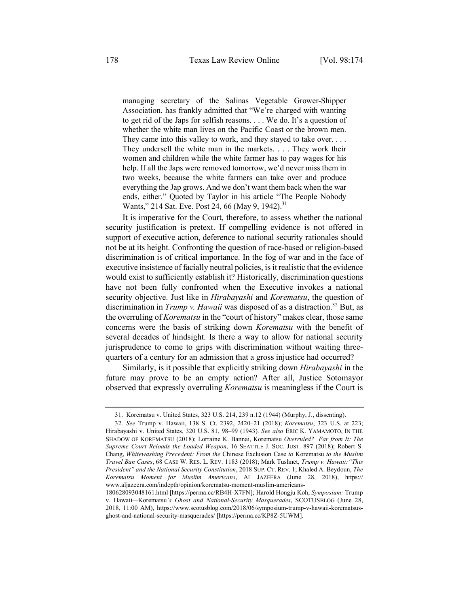managing secretary of the Salinas Vegetable Grower-Shipper Association, has frankly admitted that "We're charged with wanting to get rid of the Japs for selfish reasons. . . . We do. It's a question of whether the white man lives on the Pacific Coast or the brown men. They came into this valley to work, and they stayed to take over. . . . They undersell the white man in the markets. . . . They work their women and children while the white farmer has to pay wages for his help. If all the Japs were removed tomorrow, we'd never miss them in two weeks, because the white farmers can take over and produce everything the Jap grows. And we don't want them back when the war ends, either." Quoted by Taylor in his article "The People Nobody Wants," 214 Sat. Eve. Post 24, 66 (May 9, 1942).<sup>31</sup>

It is imperative for the Court, therefore, to assess whether the national security justification is pretext. If compelling evidence is not offered in support of executive action, deference to national security rationales should not be at its height. Confronting the question of race-based or religion-based discrimination is of critical importance. In the fog of war and in the face of executive insistence of facially neutral policies, is it realistic that the evidence would exist to sufficiently establish it? Historically, discrimination questions have not been fully confronted when the Executive invokes a national security objective. Just like in *Hirabayashi* and *Korematsu*, the question of discrimination in *Trump v. Hawaii* was disposed of as a distraction.<sup>32</sup> But, as the overruling of *Korematsu* in the "court of history" makes clear, those same concerns were the basis of striking down *Korematsu* with the benefit of several decades of hindsight. Is there a way to allow for national security jurisprudence to come to grips with discrimination without waiting threequarters of a century for an admission that a gross injustice had occurred?

Similarly, is it possible that explicitly striking down *Hirabayashi* in the future may prove to be an empty action? After all, Justice Sotomayor observed that expressly overruling *Korematsu* is meaningless if the Court is

<sup>31.</sup> Korematsu v. United States, 323 U.S. 214, 239 n.12 (1944) (Murphy, J., dissenting).

<sup>32.</sup> *See* Trump v. Hawaii, 138 S. Ct. 2392, 2420–21 (2018); *Korematsu*, 323 U.S. at 223; Hirabayashi v. United States, 320 U.S. 81, 98–99 (1943). *See also* ERIC K. YAMAMOTO, IN THE SHADOW OF KOREMATSU (2018); Lorraine K. Bannai, Korematsu *Overruled? Far from It: The Supreme Court Reloads the Loaded Weapon*, 16 SEATTLE J. SOC. JUST. 897 (2018); Robert S. Chang, *Whitewashing Precedent: From the* Chinese Exclusion Case *to* Korematsu *to the Muslim Travel Ban Cases*, 68 CASE W. RES. L. REV. 1183 (2018); Mark Tushnet, *Trump v. Hawaii:"This President" and the National Security Constitution*, 2018 SUP. CT. REV. 1; Khaled A. Beydoun, *The Korematsu Moment for Muslim Americans*, AL JAZEERA (June 28, 2018), https:// www.aljazeera.com/indepth/opinion/korematsu-moment-muslim-americans-

<sup>180628093048161.</sup>html [https://perma.cc/RB4H-X7FN]; Harold Hongju Koh, *Symposium:* Trump v. Hawaii*—*Korematsu*'s Ghost and National-Security Masquerades*, SCOTUSBLOG (June 28, 2018, 11:00 AM), https://www.scotusblog.com/2018/06/symposium-trump-v-hawaii-korematsusghost-and-national-security-masquerades/ [https://perma.cc/KP8Z-5UWM].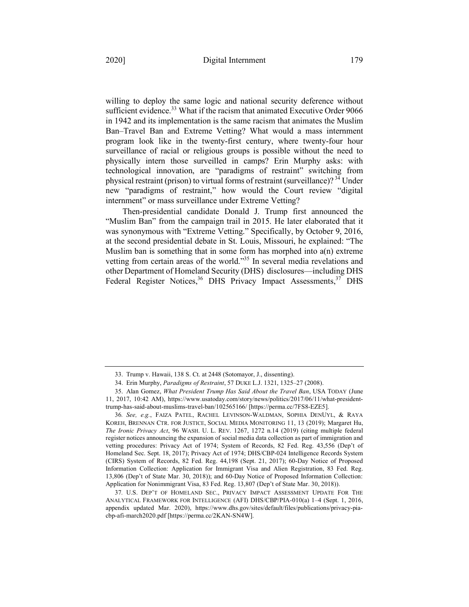willing to deploy the same logic and national security deference without sufficient evidence.<sup>33</sup> What if the racism that animated Executive Order 9066 in 1942 and its implementation is the same racism that animates the Muslim Ban–Travel Ban and Extreme Vetting? What would a mass internment program look like in the twenty-first century, where twenty-four hour surveillance of racial or religious groups is possible without the need to physically intern those surveilled in camps? Erin Murphy asks: with technological innovation, are "paradigms of restraint" switching from physical restraint (prison) to virtual forms of restraint (surveillance)? <sup>34</sup> Under new "paradigms of restraint," how would the Court review "digital internment" or mass surveillance under Extreme Vetting?

Then-presidential candidate Donald J. Trump first announced the "Muslim Ban" from the campaign trail in 2015. He later elaborated that it was synonymous with "Extreme Vetting." Specifically, by October 9, 2016, at the second presidential debate in St. Louis, Missouri, he explained: "The Muslim ban is something that in some form has morphed into a(n) extreme vetting from certain areas of the world."<sup>35</sup> In several media revelations and other Department of Homeland Security (DHS) disclosures—including DHS Federal Register Notices,<sup>36</sup> DHS Privacy Impact Assessments,<sup>37</sup> DHS

<sup>33.</sup> Trump v. Hawaii, 138 S. Ct. at 2448 (Sotomayor, J., dissenting).

<sup>34.</sup> Erin Murphy, *Paradigms of Restraint*, 57 DUKE L.J. 1321, 1325–27 (2008).

<sup>35.</sup> Alan Gomez, *What President Trump Has Said About the Travel Ban*, USA TODAY (June 11, 2017, 10:42 AM), https://www.usatoday.com/story/news/politics/2017/06/11/what-presidenttrump-has-said-about-muslims-travel-ban/102565166/ [https://perma.cc/7FS8-EZE5].

<sup>36</sup>*. See, e.g.*, FAIZA PATEL, RACHEL LEVINSON-WALDMAN, SOPHIA DENUYL, & RAYA KOREH, BRENNAN CTR. FOR JUSTICE, SOCIAL MEDIA MONITORING 11, 13 (2019); Margaret Hu, *The Ironic Privacy Act*, 96 WASH. U. L. REV. 1267, 1272 n.14 (2019) (citing multiple federal register notices announcing the expansion of social media data collection as part of immigration and vetting procedures: Privacy Act of 1974; System of Records, 82 Fed. Reg. 43,556 (Dep't of Homeland Sec. Sept. 18, 2017); Privacy Act of 1974; DHS/CBP-024 Intelligence Records System (CIRS) System of Records, 82 Fed. Reg. 44,198 (Sept. 21, 2017); 60-Day Notice of Proposed Information Collection: Application for Immigrant Visa and Alien Registration, 83 Fed. Reg. 13,806 (Dep't of State Mar. 30, 2018)); and 60-Day Notice of Proposed Information Collection: Application for Nonimmigrant Visa, 83 Fed. Reg. 13,807 (Dep't of State Mar. 30, 2018)).

<sup>37</sup>*.* U.S. DEP'T OF HOMELAND SEC., PRIVACY IMPACT ASSESSMENT UPDATE FOR THE ANALYTICAL FRAMEWORK FOR INTELLIGENCE (AFI) DHS/CBP/PIA-010(a) 1–4 (Sept. 1, 2016, appendix updated Mar. 2020), https://www.dhs.gov/sites/default/files/publications/privacy-piacbp-afi-march2020.pdf [https://perma.cc/2KAN-SN4W].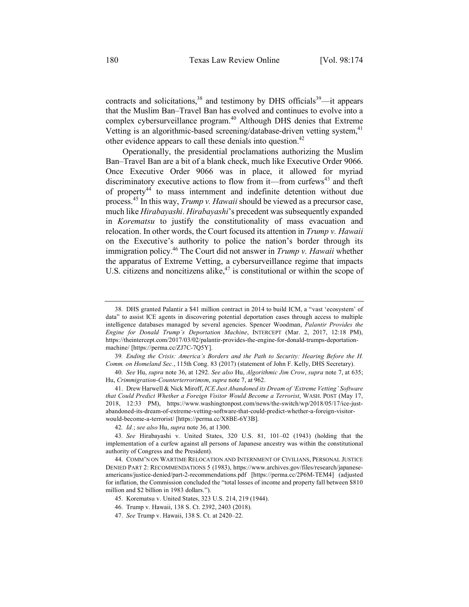contracts and solicitations,  $38$  and testimony by DHS officials  $39$ —it appears that the Muslim Ban–Travel Ban has evolved and continues to evolve into a complex cybersurveillance program.<sup>40</sup> Although DHS denies that Extreme Vetting is an algorithmic-based screening/database-driven vetting system,<sup>41</sup> other evidence appears to call these denials into question.<sup>42</sup>

Operationally, the presidential proclamations authorizing the Muslim Ban–Travel Ban are a bit of a blank check, much like Executive Order 9066. Once Executive Order 9066 was in place, it allowed for myriad discriminatory executive actions to flow from it—from curfews<sup>43</sup> and theft of property<sup>44</sup> to mass internment and indefinite detention without due process.<sup>45</sup> In this way, *Trump v. Hawaii* should be viewed as a precursor case, much like *Hirabayashi*. *Hirabayashi*'s precedent was subsequently expanded in *Korematsu* to justify the constitutionality of mass evacuation and relocation. In other words, the Court focused its attention in *Trump v. Hawaii* on the Executive's authority to police the nation's border through its immigration policy. <sup>46</sup> The Court did not answer in *Trump v. Hawaii* whether the apparatus of Extreme Vetting, a cybersurveillance regime that impacts U.S. citizens and noncitizens alike, $47$  is constitutional or within the scope of

<sup>38</sup>*.* DHS granted Palantir a \$41 million contract in 2014 to build ICM, a "vast 'ecosystem' of data" to assist ICE agents in discovering potential deportation cases through access to multiple intelligence databases managed by several agencies. Spencer Woodman, *Palantir Provides the Engine for Donald Trump's Deportation Machine*, INTERCEPT (Mar. 2, 2017, 12:18 PM), https://theintercept.com/2017/03/02/palantir-provides-the-engine-for-donald-trumps-deportationmachine/ [https://perma.cc/ZJ7C-7Q5Y].

<sup>39</sup>*. Ending the Crisis: America's Borders and the Path to Security: Hearing Before the H. Comm. on Homeland Sec.*, 115th Cong. 83 (2017) (statement of John F. Kelly, DHS Secretary).

<sup>40</sup>*. See* Hu, *supra* note 36, at 1292. *See also* Hu, *Algorithmic Jim Crow*, *supra* note 7, at 635; Hu, *Crimmigration-Counterterrorimsm*, *supra* note 7, at 962.

<sup>41.</sup> Drew Harwell & Nick Miroff, *ICE Just Abandoned its Dream of 'Extreme Vetting' Software that Could Predict Whether a Foreign Visitor Would Become a Terrorist*, WASH. POST (May 17, 2018, 12:33 PM), https://www.washingtonpost.com/news/the-switch/wp/2018/05/17/ice-justabandoned-its-dream-of-extreme-vetting-software-that-could-predict-whether-a-foreign-visitorwould-become-a-terrorist/ [https://perma.cc/X8BE-6Y3B].

<sup>42</sup>*. Id.*; *see also* Hu, *supra* note 36, at 1300.

<sup>43</sup>*. See* Hirabayashi v. United States, 320 U.S. 81, 101–02 (1943) (holding that the implementation of a curfew against all persons of Japanese ancestry was within the constitutional authority of Congress and the President).

<sup>44.</sup> COMM'N ON WARTIME RELOCATION AND INTERNMENT OF CIVILIANS, PERSONAL JUSTICE DENIED PART 2: RECOMMENDATIONS 5 (1983), https://www.archives.gov/files/research/japaneseamericans/justice-denied/part-2-recommendations.pdf [https://perma.cc/2P6M-TEM4] (adjusted for inflation, the Commission concluded the "total losses of income and property fall between \$810 million and \$2 billion in 1983 dollars.").

<sup>45.</sup> Korematsu v. United States, 323 U.S. 214, 219 (1944).

<sup>46.</sup> Trump v. Hawaii, 138 S. Ct. 2392, 2403 (2018).

<sup>47.</sup> *See* Trump v. Hawaii, 138 S. Ct. at 2420–22.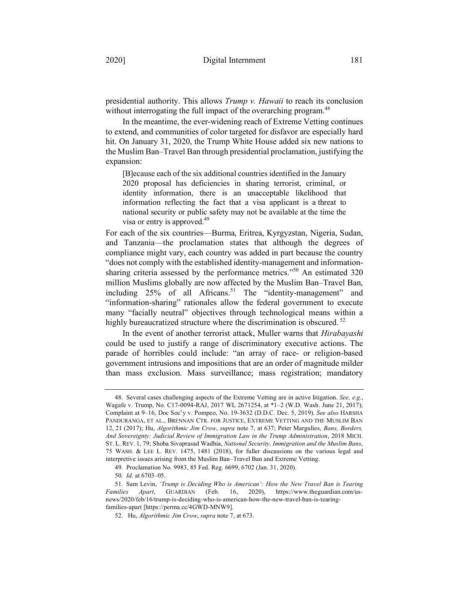presidential authority. This allows *Trump v. Hawaii* to reach its conclusion without interrogating the full impact of the overarching program.<sup>48</sup>

In the meantime, the ever-widening reach of Extreme Vetting continues to extend, and communities of color targeted for disfavor are especially hard hit. On January 31, 2020, the Trump White House added six new nations to the Muslim Ban–Travel Ban through presidential proclamation, justifying the expansion:

[B]ecause each of the six additional countries identified in the January 2020 proposal has deficiencies in sharing terrorist, criminal, or identity information, there is an unacceptable likelihood that information reflecting the fact that a visa applicant is a threat to national security or public safety may not be available at the time the visa or entry is approved.<sup>49</sup>

For each of the six countries—Burma, Eritrea, Kyrgyzstan, Nigeria, Sudan, and Tanzania—the proclamation states that although the degrees of compliance might vary, each country was added in part because the country "does not comply with the established identity-management and informationsharing criteria assessed by the performance metrics."<sup>50</sup> An estimated 320 million Muslims globally are now affected by the Muslim Ban–Travel Ban, including  $25%$  of all Africans.<sup>51</sup> The "identity-management" and "information-sharing" rationales allow the federal government to execute many "facially neutral" objectives through technological means within a highly bureaucratized structure where the discrimination is obscured.<sup>52</sup>

In the event of another terrorist attack, Muller warns that *Hirabayashi*  could be used to justify a range of discriminatory executive actions. The parade of horribles could include: "an array of race- or religion-based government intrusions and impositions that are an order of magnitude milder than mass exclusion. Mass surveillance; mass registration; mandatory

<sup>48.</sup> Several cases challenging aspects of the Extreme Vetting are in active litigation. *See, e.g.*, Wagafe v. Trump, No. C17-0094-RAJ, 2017 WL 2671254, at \*1–2 (W.D. Wash. June 21, 2017); Complaint at 9–16, Doc Soc'y v. Pompeo, No. 19-3632 (D.D.C. Dec. 5, 2019). *See also* HARSHA PANDURANGA, ET AL., BRENNAN CTR. FOR JUSTICE, EXTREME VETTING AND THE MUSLIM BAN 12, 21 (2017); Hu, *Algorithmic Jim Crow*, *supra* note 7, at 637; Peter Margulies, *Bans, Borders, And Sovereignty: Judicial Review of Immigration Law in the Trump Administration*, 2018 MICH. ST. L. REV. 1, 79; Shoba Sivaprasad Wadhia, *National Security, Immigration and the Muslim Bans*, 75 WASH. & LEE L. REV. 1475, 1481 (2018), for fuller discussions on the various legal and interpretive issues arising from the Muslim Ban–Travel Ban and Extreme Vetting.

<sup>49.</sup> Proclamation No. 9983, 85 Fed. Reg. 6699, 6702 (Jan. 31, 2020).

<sup>50</sup>*. Id.* at 6703–05.

<sup>51.</sup> Sam Levin, *'Trump is Deciding Who is American': How the New Travel Ban is Tearing Families Apart*, GUARDIAN (Feb. 16, 2020), https://www.theguardian.com/usnews/2020/feb/16/trump-is-deciding-who-is-american-how-the-new-travel-ban-is-tearingfamilies-apart [https://perma.cc/4GWD-MNW9].

<sup>52.</sup> Hu, *Algorithmic Jim Crow*, *supra* note 7, at 673.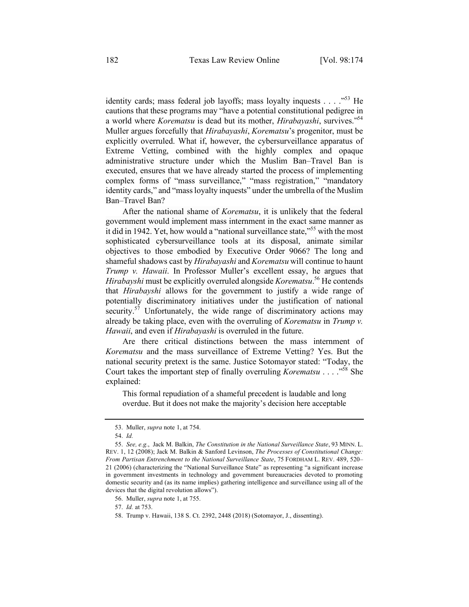identity cards; mass federal job layoffs; mass loyalty inquests  $\ldots$  .  $\frac{1}{52}$  He cautions that these programs may "have a potential constitutional pedigree in a world where *Korematsu* is dead but its mother, *Hirabayashi*, survives."54 Muller argues forcefully that *Hirabayashi*, *Korematsu*'s progenitor, must be explicitly overruled. What if, however, the cybersurveillance apparatus of Extreme Vetting, combined with the highly complex and opaque administrative structure under which the Muslim Ban–Travel Ban is executed, ensures that we have already started the process of implementing complex forms of "mass surveillance," "mass registration," "mandatory identity cards," and "mass loyalty inquests" under the umbrella of the Muslim Ban–Travel Ban?

After the national shame of *Korematsu*, it is unlikely that the federal government would implement mass internment in the exact same manner as it did in 1942. Yet, how would a "national surveillance state,"55 with the most sophisticated cybersurveillance tools at its disposal, animate similar objectives to those embodied by Executive Order 9066? The long and shameful shadows cast by *Hirabayashi* and *Korematsu* will continue to haunt *Trump v. Hawaii*. In Professor Muller's excellent essay, he argues that *Hirabayshi* must be explicitly overruled alongside *Korematsu*. <sup>56</sup> He contends that *Hirabayshi* allows for the government to justify a wide range of potentially discriminatory initiatives under the justification of national security.<sup>57</sup> Unfortunately, the wide range of discriminatory actions may already be taking place, even with the overruling of *Korematsu* in *Trump v. Hawaii*, and even if *Hirabayashi* is overruled in the future.

Are there critical distinctions between the mass internment of *Korematsu* and the mass surveillance of Extreme Vetting? Yes. But the national security pretext is the same. Justice Sotomayor stated: "Today, the Court takes the important step of finally overruling *Korematsu* . . . .<sup>558</sup> She explained:

This formal repudiation of a shameful precedent is laudable and long overdue. But it does not make the majority's decision here acceptable

<sup>53.</sup> Muller, *supra* note 1, at 754.

<sup>54.</sup> *Id.* 

<sup>55.</sup> *See, e.g.*, Jack M. Balkin, *The Constitution in the National Surveillance State*, 93 MINN. L. REV. 1, 12 (2008); Jack M. Balkin & Sanford Levinson, *The Processes of Constitutional Change: From Partisan Entrenchment to the National Surveillance State*, 75 FORDHAM L. REV. 489, 520– 21 (2006) (characterizing the "National Surveillance State" as representing "a significant increase in government investments in technology and government bureaucracies devoted to promoting domestic security and (as its name implies) gathering intelligence and surveillance using all of the devices that the digital revolution allows").

<sup>56.</sup> Muller, *supra* note 1, at 755.

<sup>57.</sup> *Id.* at 753.

<sup>58.</sup> Trump v. Hawaii, 138 S. Ct. 2392, 2448 (2018) (Sotomayor, J., dissenting).